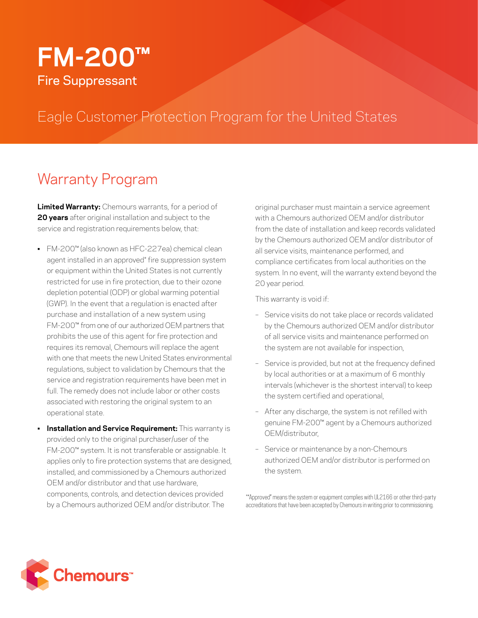# **FM-200™** Fire Suppressant

## Eagle Customer Protection Program for the United States

### Warranty Program

**Limited Warranty:** Chemours warrants, for a period of **20 years** after original installation and subject to the service and registration requirements below, that:

- FM-200™ (also known as HFC-227ea) chemical clean agent installed in an approved\* fire suppression system or equipment within the United States is not currently restricted for use in fire protection, due to their ozone depletion potential (ODP) or global warming potential (GWP). In the event that a regulation is enacted after purchase and installation of a new system using FM-200™ from one of our authorized OEM partners that prohibits the use of this agent for fire protection and requires its removal, Chemours will replace the agent with one that meets the new United States environmental regulations, subject to validation by Chemours that the service and registration requirements have been met in full. The remedy does not include labor or other costs associated with restoring the original system to an operational state.
- **Installation and Service Requirement:** This warranty is provided only to the original purchaser/user of the FM-200™ system. It is not transferable or assignable. It applies only to fire protection systems that are designed, installed, and commissioned by a Chemours authorized OEM and/or distributor and that use hardware, components, controls, and detection devices provided by a Chemours authorized OEM and/or distributor. The

original purchaser must maintain a service agreement with a Chemours authorized OEM and/or distributor from the date of installation and keep records validated by the Chemours authorized OEM and/or distributor of all service visits, maintenance performed, and compliance certificates from local authorities on the system. In no event, will the warranty extend beyond the 20 year period.

This warranty is void if:

- Service visits do not take place or records validated by the Chemours authorized OEM and/or distributor of all service visits and maintenance performed on the system are not available for inspection,
- Service is provided, but not at the frequency defined by local authorities or at a maximum of 6 monthly intervals (whichever is the shortest interval) to keep the system certified and operational,
- After any discharge, the system is not refilled with genuine FM-200™ agent by a Chemours authorized OEM/distributor,
- Service or maintenance by a non-Chemours authorized OEM and/or distributor is performed on the system.

\*"Approved" means the system or equipment complies with UL2166 or other third-party accreditations that have been accepted by Chemours in writing prior to commissioning.